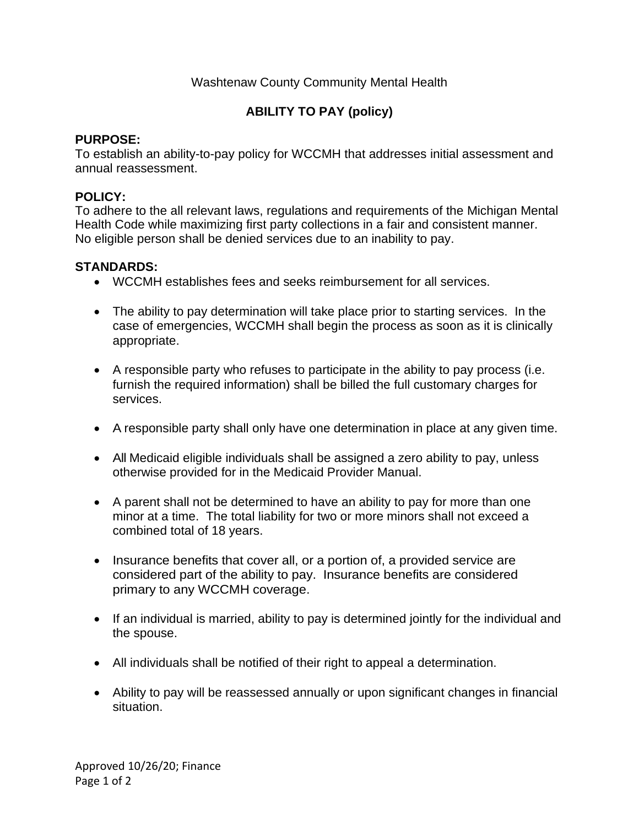# Washtenaw County Community Mental Health

# **ABILITY TO PAY (policy)**

### **PURPOSE:**

To establish an ability-to-pay policy for WCCMH that addresses initial assessment and annual reassessment.

## **POLICY:**

To adhere to the all relevant laws, regulations and requirements of the Michigan Mental Health Code while maximizing first party collections in a fair and consistent manner. No eligible person shall be denied services due to an inability to pay.

### **STANDARDS:**

- WCCMH establishes fees and seeks reimbursement for all services.
- The ability to pay determination will take place prior to starting services. In the case of emergencies, WCCMH shall begin the process as soon as it is clinically appropriate.
- A responsible party who refuses to participate in the ability to pay process (i.e. furnish the required information) shall be billed the full customary charges for services.
- A responsible party shall only have one determination in place at any given time.
- All Medicaid eligible individuals shall be assigned a zero ability to pay, unless otherwise provided for in the Medicaid Provider Manual.
- A parent shall not be determined to have an ability to pay for more than one minor at a time. The total liability for two or more minors shall not exceed a combined total of 18 years.
- Insurance benefits that cover all, or a portion of, a provided service are considered part of the ability to pay. Insurance benefits are considered primary to any WCCMH coverage.
- If an individual is married, ability to pay is determined jointly for the individual and the spouse.
- All individuals shall be notified of their right to appeal a determination.
- Ability to pay will be reassessed annually or upon significant changes in financial situation.